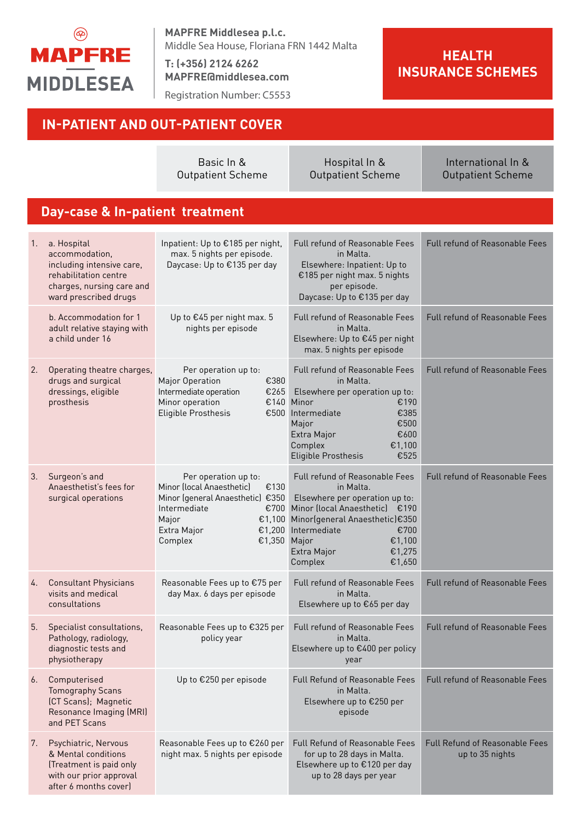

**MAPFRE Middlesea p.l.c.** Middle Sea House, Floriana FRN 1442 Malta

**T: (+356) 2124 6262 MAPFRE@middlesea.com**

Registration Number: C5553

### **HEALTH INSURANCE SCHEMES**

|    | <b>IN-PATIENT AND OUT-PATIENT COVER</b>                                                                                                   |                                                                                                                                                                                        |                                                                                                                                                                                                                                            |                                                          |  |
|----|-------------------------------------------------------------------------------------------------------------------------------------------|----------------------------------------------------------------------------------------------------------------------------------------------------------------------------------------|--------------------------------------------------------------------------------------------------------------------------------------------------------------------------------------------------------------------------------------------|----------------------------------------------------------|--|
|    |                                                                                                                                           | Basic In &<br><b>Outpatient Scheme</b>                                                                                                                                                 | Hospital In &<br><b>Outpatient Scheme</b>                                                                                                                                                                                                  | International In &<br><b>Outpatient Scheme</b>           |  |
|    | Day-case & In-patient treatment                                                                                                           |                                                                                                                                                                                        |                                                                                                                                                                                                                                            |                                                          |  |
| 1. | a. Hospital<br>accommodation,<br>including intensive care,<br>rehabilitation centre<br>charges, nursing care and<br>ward prescribed drugs | Inpatient: Up to €185 per night,<br>max. 5 nights per episode.<br>Daycase: Up to €135 per day                                                                                          | Full refund of Reasonable Fees<br>in Malta.<br>Elsewhere: Inpatient: Up to<br>€185 per night max. 5 nights<br>per episode.<br>Daycase: Up to €135 per day                                                                                  | <b>Full refund of Reasonable Fees</b>                    |  |
|    | b. Accommodation for 1<br>adult relative staying with<br>a child under 16                                                                 | Up to €45 per night max. 5<br>nights per episode                                                                                                                                       | <b>Full refund of Reasonable Fees</b><br>in Malta.<br>Elsewhere: Up to €45 per night<br>max. 5 nights per episode                                                                                                                          | Full refund of Reasonable Fees                           |  |
| 2. | Operating theatre charges,<br>drugs and surgical<br>dressings, eligible<br>prosthesis                                                     | Per operation up to:<br>Major Operation<br>€380<br>Intermediate operation<br>€265<br>Minor operation<br>€140<br>Eligible Prosthesis<br>€500                                            | Full refund of Reasonable Fees<br>in Malta.<br>Elsewhere per operation up to:<br>€190<br>Minor<br>€385<br>Intermediate<br>€500<br>Major<br>€600<br>Extra Major<br>Complex<br>€1,100<br>€525<br>Eligible Prosthesis                         | <b>Full refund of Reasonable Fees</b>                    |  |
| 3. | Surgeon's and<br>Anaesthetist's fees for<br>surgical operations                                                                           | Per operation up to:<br>Minor (local Anaesthetic)<br>€130<br>Minor (general Anaesthetic) €350<br>€700<br>Intermediate<br>€1,100<br>Major<br>Extra Major<br>€1,200<br>€1,350<br>Complex | Full refund of Reasonable Fees<br>in Malta.<br>Elsewhere per operation up to:<br>Minor (local Anaesthetic) €190<br>Minor(general Anaesthetic)€350<br>Intermediate<br>€700<br>Major<br>€1,100<br>Extra Major<br>€1,275<br>Complex<br>€1,650 | Full refund of Reasonable Fees                           |  |
| 4. | <b>Consultant Physicians</b><br>visits and medical<br>consultations                                                                       | Reasonable Fees up to €75 per<br>day Max. 6 days per episode                                                                                                                           | Full refund of Reasonable Fees<br>in Malta.<br>Elsewhere up to €65 per day                                                                                                                                                                 | <b>Full refund of Reasonable Fees</b>                    |  |
| 5. | Specialist consultations,<br>Pathology, radiology,<br>diagnostic tests and<br>physiotherapy                                               | Reasonable Fees up to €325 per<br>policy year                                                                                                                                          | Full refund of Reasonable Fees<br>in Malta.<br>Elsewhere up to €400 per policy<br>year                                                                                                                                                     | <b>Full refund of Reasonable Fees</b>                    |  |
| 6. | Computerised<br><b>Tomography Scans</b><br>(CT Scans); Magnetic<br>Resonance Imaging (MRI)<br>and PET Scans                               | Up to €250 per episode                                                                                                                                                                 | Full Refund of Reasonable Fees<br>in Malta.<br>Elsewhere up to €250 per<br>episode                                                                                                                                                         | Full refund of Reasonable Fees                           |  |
| 7. | Psychiatric, Nervous<br>& Mental conditions<br>(Treatment is paid only<br>with our prior approval<br>after 6 months cover)                | Reasonable Fees up to €260 per<br>night max. 5 nights per episode                                                                                                                      | <b>Full Refund of Reasonable Fees</b><br>for up to 28 days in Malta.<br>Elsewhere up to €120 per day<br>up to 28 days per year                                                                                                             | <b>Full Refund of Reasonable Fees</b><br>up to 35 nights |  |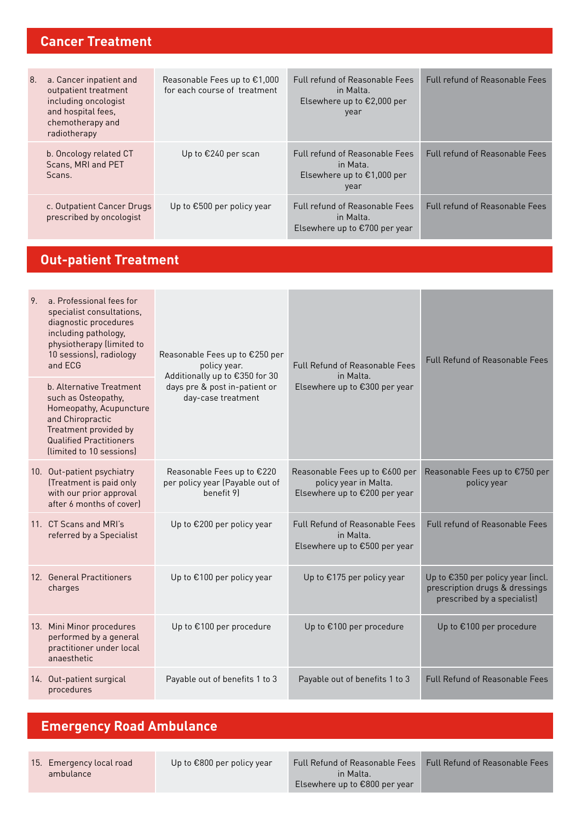### **Cancer Treatment**

| 8. | a. Cancer inpatient and<br>outpatient treatment<br>including oncologist<br>and hospital fees,<br>chemotherapy and<br>radiotherapy | Reasonable Fees up to $\epsilon$ 1,000<br>for each course of treatment | <b>Full refund of Reasonable Fees</b><br>in Malta.<br>Elsewhere up to $E2,000$ per<br>year        | <b>Full refund of Reasonable Fees</b> |
|----|-----------------------------------------------------------------------------------------------------------------------------------|------------------------------------------------------------------------|---------------------------------------------------------------------------------------------------|---------------------------------------|
|    | b. Oncology related CT<br>Scans, MRI and PET<br>Scans.                                                                            | Up to €240 per scan                                                    | <b>Full refund of Reasonable Fees</b><br>in Mata.<br>Elsewhere up to $\epsilon$ 1,000 per<br>year | <b>Full refund of Reasonable Fees</b> |
|    | c. Outpatient Cancer Drugs<br>prescribed by oncologist                                                                            | Up to $\epsilon$ 500 per policy year                                   | <b>Full refund of Reasonable Fees</b><br>in Malta.<br>Elsewhere up to $\epsilon$ 700 per year     | <b>Full refund of Reasonable Fees</b> |

# **Out-patient Treatment**

| 9. | a. Professional fees for<br>specialist consultations,<br>diagnostic procedures<br>including pathology,<br>physiotherapy (limited to<br>10 sessions), radiology<br>and ECG             | Reasonable Fees up to €250 per<br>policy year.                                        | <b>Full Refund of Reasonable Fees</b>                                                    | <b>Full Refund of Reasonable Fees</b>                                                              |
|----|---------------------------------------------------------------------------------------------------------------------------------------------------------------------------------------|---------------------------------------------------------------------------------------|------------------------------------------------------------------------------------------|----------------------------------------------------------------------------------------------------|
|    | b. Alternative Treatment<br>such as Osteopathy,<br>Homeopathy, Acupuncture<br>and Chiropractic<br>Treatment provided by<br><b>Qualified Practitioners</b><br>(limited to 10 sessions) | Additionally up to €350 for 30<br>days pre & post in-patient or<br>day-case treatment | in Malta.<br>Elsewhere up to €300 per year                                               |                                                                                                    |
|    | 10. Out-patient psychiatry<br>(Treatment is paid only<br>with our prior approval<br>after 6 months of cover)                                                                          | Reasonable Fees up to €220<br>per policy year (Payable out of<br>benefit 91           | Reasonable Fees up to €600 per<br>policy year in Malta.<br>Elsewhere up to €200 per year | Reasonable Fees up to €750 per<br>policy year                                                      |
|    | 11. CT Scans and MRI's<br>referred by a Specialist                                                                                                                                    | Up to €200 per policy year                                                            | <b>Full Refund of Reasonable Fees</b><br>in Malta.<br>Elsewhere up to €500 per year      | Full refund of Reasonable Fees                                                                     |
|    | 12. General Practitioners<br>charges                                                                                                                                                  | Up to €100 per policy year                                                            | Up to €175 per policy year                                                               | Up to €350 per policy year (incl.<br>prescription drugs & dressings<br>prescribed by a specialist) |
|    | 13. Mini Minor procedures<br>performed by a general<br>practitioner under local<br>anaesthetic                                                                                        | Up to €100 per procedure                                                              | Up to €100 per procedure                                                                 | Up to €100 per procedure                                                                           |
|    | 14. Out-patient surgical<br>procedures                                                                                                                                                | Payable out of benefits 1 to 3                                                        | Payable out of benefits 1 to 3                                                           | <b>Full Refund of Reasonable Fees</b>                                                              |

## **Emergency Road Ambulance**

15. Emergency local road ambulance

Up to €800 per policy year Full Refund of Reasonable Fees in Malta. Elsewhere up to €800 per year

Full Refund of Reasonable Fees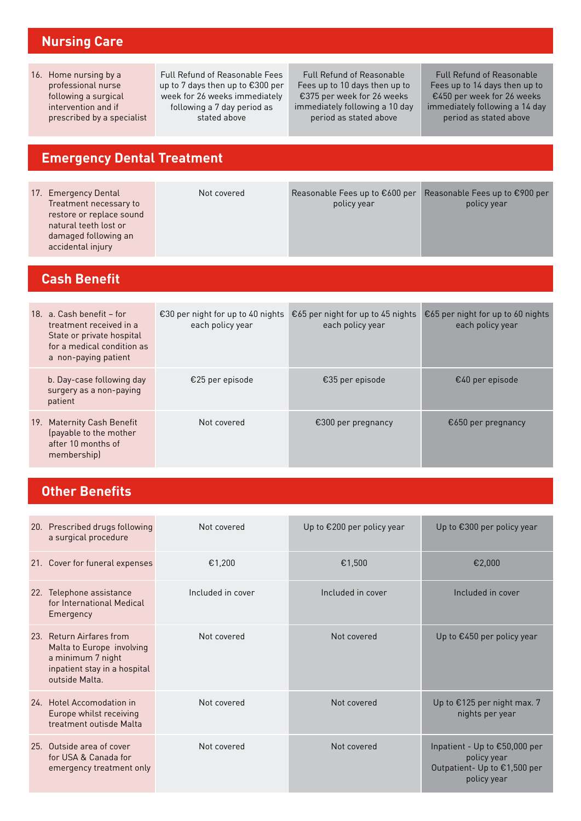### **Nursing Care**

16. Home nursing by a professional nurse following a surgical intervention and if prescribed by a specialist

Full Refund of Reasonable Fees up to 7 days then up to €300 per week for 26 weeks immediately following a 7 day period as stated above

Full Refund of Reasonable Fees up to 10 days then up to €375 per week for 26 weeks immediately following a 10 day period as stated above

Full Refund of Reasonable Fees up to 14 days then up to €450 per week for 26 weeks immediately following a 14 day period as stated above

## **Emergency Dental Treatment**

| 17. Emergency Dental<br>Treatment necessary to<br>restore or replace sound<br>natural teeth lost or<br>damaged following an<br>accidental injury | Not covered                                           | Reasonable Fees up to €600 per<br>policy year         | Reasonable Fees up to €900 per<br>policy year         |
|--------------------------------------------------------------------------------------------------------------------------------------------------|-------------------------------------------------------|-------------------------------------------------------|-------------------------------------------------------|
| <b>Cash Benefit</b>                                                                                                                              |                                                       |                                                       |                                                       |
| 18. a. Cash benefit - for<br>treatment received in a<br>State or private hospital<br>for a medical condition as<br>a non-paying patient          | €30 per night for up to 40 nights<br>each policy year | €65 per night for up to 45 nights<br>each policy year | €65 per night for up to 60 nights<br>each policy year |
| b. Day-case following day<br>surgery as a non-paying<br>patient                                                                                  | €25 per episode                                       | €35 per episode                                       | $€40$ per episode                                     |
| 19. Maternity Cash Benefit<br>(payable to the mother<br>after 10 months of<br>membership)                                                        | Not covered                                           | €300 per pregnancy                                    | €650 per pregnancy                                    |

## **Other Benefits**

| 20. Prescribed drugs following<br>a surgical procedure                                                                       | Not covered       | Up to €200 per policy year | Up to $\epsilon$ 300 per policy year                                                        |
|------------------------------------------------------------------------------------------------------------------------------|-------------------|----------------------------|---------------------------------------------------------------------------------------------|
| 21. Cover for funeral expenses                                                                                               | €1,200            | €1,500                     | €2.000                                                                                      |
| 22. Telephone assistance<br>for International Medical<br>Emergency                                                           | Included in cover | Included in cover          | Included in cover                                                                           |
| 23. Return Airfares from<br>Malta to Europe involving<br>a minimum 7 night<br>inpatient stay in a hospital<br>outside Malta. | Not covered       | Not covered                | Up to €450 per policy year                                                                  |
| 24 Hotel Accomodation in<br>Europe whilst receiving<br>treatment outisde Malta                                               | Not covered       | Not covered                | Up to €125 per night max. 7<br>nights per year                                              |
| 25. Outside area of cover<br>for USA & Canada for<br>emergency treatment only                                                | Not covered       | Not covered                | Inpatient - Up to €50,000 per<br>policy year<br>Outpatient- Up to €1,500 per<br>policy year |